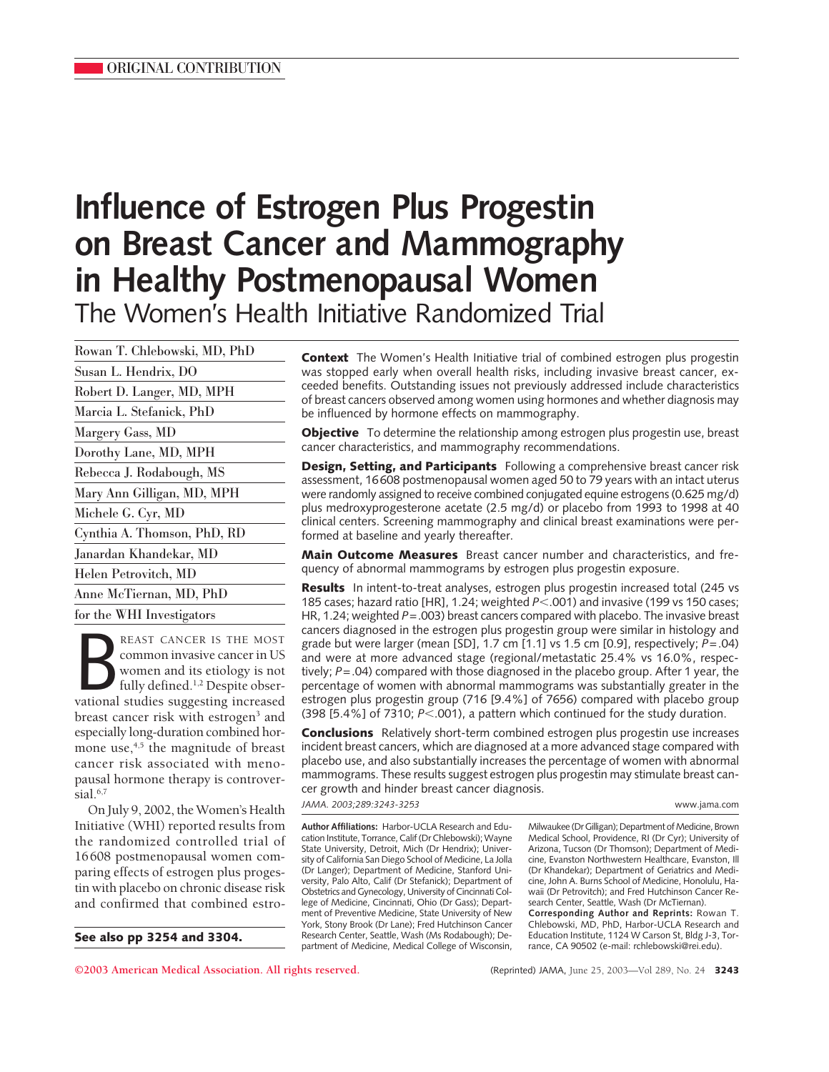# **Influence of Estrogen Plus Progestin on Breast Cancer and Mammography in Healthy Postmenopausal Women** The Women's Health Initiative Randomized Trial

| Rowan T. Chlebowski, MD, PhD |
|------------------------------|
| Susan L. Hendrix, DO         |
| Robert D. Langer, MD, MPH    |
| Marcia L. Stefanick, PhD     |
| Margery Gass, MD             |
| Dorothy Lane, MD, MPH        |
| Rebecca J. Rodabough, MS     |
| Mary Ann Gilligan, MD, MPH   |
| Michele G. Cyr, MD           |
| Cynthia A. Thomson, PhD, RD  |
| Janardan Khandekar, MD       |
| Helen Petrovitch, MD         |
| Anne McTiernan, MD, PhD      |
| for the WHI Investigators    |

REAST CANCER IS THE MOST COMMON IN SURVEY ON SURVEY SURVEY SURVEY TO SURVEY THE SURVEY OF SURVEY OF SURVEY OF SURVEY OF SURVEY OF SURVEY OF SURVEY OF SURVEY OF SURVEY OF SURVEY OF SURVEY OF SURVEY OF SURVEY OF SURVEY OF SU REAST CANCER IS THE MOST common invasive cancer in US women and its etiology is not fully defined.<sup>1,2</sup> Despite obserbreast cancer risk with estrogen<sup>3</sup> and especially long-duration combined hormone use,<sup>4,5</sup> the magnitude of breast cancer risk associated with menopausal hormone therapy is controversial. $6,7$ 

On July 9, 2002, the Women's Health Initiative (WHI) reported results from the randomized controlled trial of 16608 postmenopausal women comparing effects of estrogen plus progestin with placebo on chronic disease risk and confirmed that combined estro-

**See also pp 3254 and 3304.**

**Context** The Women's Health Initiative trial of combined estrogen plus progestin was stopped early when overall health risks, including invasive breast cancer, exceeded benefits. Outstanding issues not previously addressed include characteristics of breast cancers observed among women using hormones and whether diagnosis may be influenced by hormone effects on mammography.

**Objective** To determine the relationship among estrogen plus progestin use, breast cancer characteristics, and mammography recommendations.

**Design, Setting, and Participants** Following a comprehensive breast cancer risk assessment, 16608 postmenopausal women aged 50 to 79 years with an intact uterus were randomly assigned to receive combined conjugated equine estrogens (0.625 mg/d) plus medroxyprogesterone acetate (2.5 mg/d) or placebo from 1993 to 1998 at 40 clinical centers. Screening mammography and clinical breast examinations were performed at baseline and yearly thereafter.

**Main Outcome Measures** Breast cancer number and characteristics, and frequency of abnormal mammograms by estrogen plus progestin exposure.

**Results** In intent-to-treat analyses, estrogen plus progestin increased total (245 vs 185 cases; hazard ratio [HR], 1.24; weighted *P*.001) and invasive (199 vs 150 cases; HR, 1.24; weighted  $P = .003$ ) breast cancers compared with placebo. The invasive breast cancers diagnosed in the estrogen plus progestin group were similar in histology and grade but were larger (mean [SD], 1.7 cm [1.1] vs 1.5 cm [0.9], respectively; *P*=.04) and were at more advanced stage (regional/metastatic 25.4% vs 16.0%, respectively; *P*=.04) compared with those diagnosed in the placebo group. After 1 year, the percentage of women with abnormal mammograms was substantially greater in the estrogen plus progestin group (716 [9.4%] of 7656) compared with placebo group (398 [5.4%] of 7310;  $P$ <.001), a pattern which continued for the study duration.

**Conclusions** Relatively short-term combined estrogen plus progestin use increases incident breast cancers, which are diagnosed at a more advanced stage compared with placebo use, and also substantially increases the percentage of women with abnormal mammograms. These results suggest estrogen plus progestin may stimulate breast cancer growth and hinder breast cancer diagnosis.

*JAMA. 2003;289:3243-3253* www.jama.com

**Author Affiliations:** Harbor-UCLA Research and Education Institute, Torrance, Calif (Dr Chlebowski); Wayne State University, Detroit, Mich (Dr Hendrix); University of California San Diego School of Medicine, La Jolla (Dr Langer); Department of Medicine, Stanford University, Palo Alto, Calif (Dr Stefanick); Department of Obstetrics and Gynecology, University of Cincinnati College of Medicine, Cincinnati, Ohio (Dr Gass); Department of Preventive Medicine, State University of New York, Stony Brook (Dr Lane); Fred Hutchinson Cancer Research Center, Seattle, Wash (Ms Rodabough); Department of Medicine, Medical College of Wisconsin,

Milwaukee (Dr Gilligan); Department of Medicine, Brown Medical School, Providence, RI (Dr Cyr); University of Arizona, Tucson (Dr Thomson); Department of Medicine, Evanston Northwestern Healthcare, Evanston, Ill (Dr Khandekar); Department of Geriatrics and Medicine, John A. Burns School of Medicine, Honolulu, Hawaii (Dr Petrovitch); and Fred Hutchinson Cancer Research Center, Seattle, Wash (Dr McTiernan). **Corresponding Author and Reprints:** Rowan T. Chlebowski, MD, PhD, Harbor-UCLA Research and Education Institute, 1124 W Carson St, Bldg J-3, Torrance, CA 90502 (e-mail: rchlebowski@rei.edu).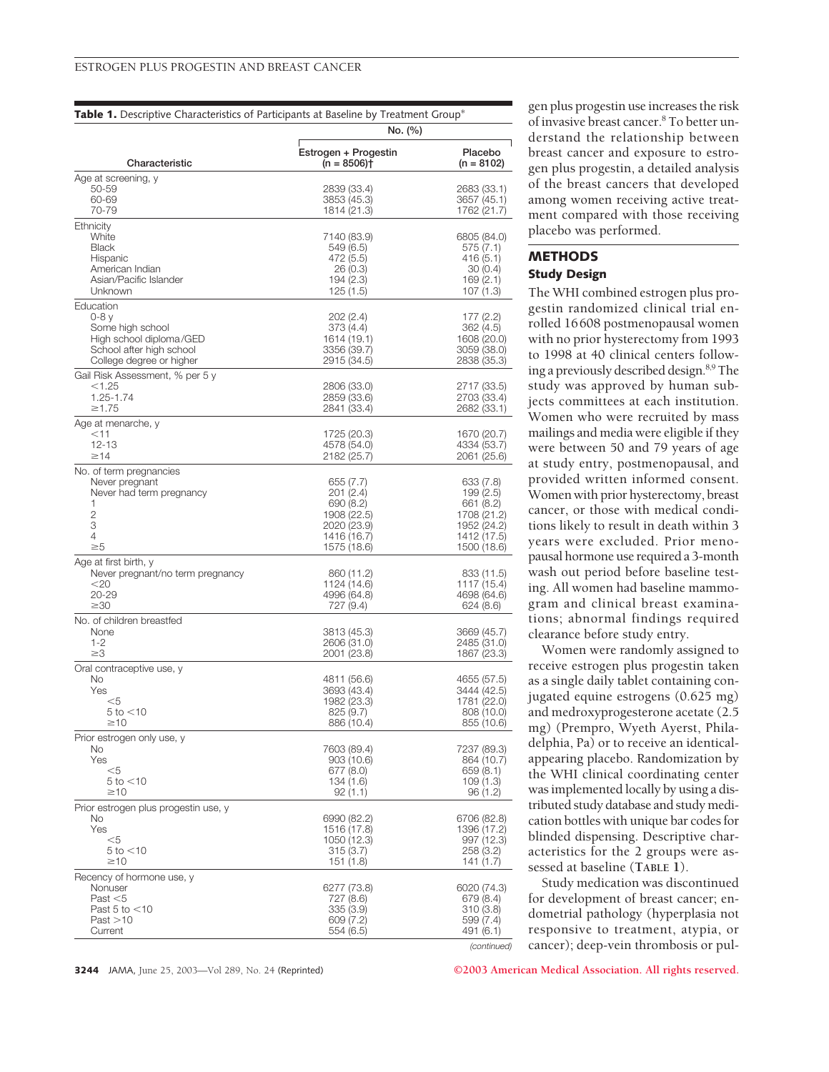|                                                                                                                            | <b>Table 1.</b> Descriptive Characteristics of Participants at Baseline by Treatment Group <sup>*</sup><br>No. (%) |                                                                                                 |  |  |
|----------------------------------------------------------------------------------------------------------------------------|--------------------------------------------------------------------------------------------------------------------|-------------------------------------------------------------------------------------------------|--|--|
| Characteristic                                                                                                             | Estrogen + Progestin<br>$(n = 8506)$                                                                               | Placebo<br>$(n = 8102)$                                                                         |  |  |
| Age at screening, y<br>50-59<br>60-69<br>70-79                                                                             | 2839 (33.4)<br>3853 (45.3)<br>1814 (21.3)                                                                          | 2683 (33.1)<br>3657 (45.1)<br>1762 (21.7)                                                       |  |  |
| Ethnicity<br>White<br><b>Black</b><br>Hispanic<br>American Indian<br>Asian/Pacific Islander<br>Unknown                     | 7140 (83.9)<br>549 (6.5)<br>472 (5.5)<br>26(0.3)<br>194 (2.3)<br>125 (1.5)                                         | 6805 (84.0)<br>575 (7.1)<br>416(5.1)<br>30(0.4)<br>169(2.1)<br>107(1.3)                         |  |  |
| Education<br>$0-8y$<br>Some high school<br>High school diploma/GED<br>School after high school<br>College degree or higher | 202 (2.4)<br>373 (4.4)<br>1614 (19.1)<br>3356 (39.7)<br>2915 (34.5)                                                | 177 (2.2)<br>362 (4.5)<br>1608 (20.0)<br>3059 (38.0)<br>2838 (35.3)                             |  |  |
| Gail Risk Assessment, % per 5 y<br>< 1.25<br>1.25-1.74<br>$\geq 1.75$                                                      | 2806 (33.0)<br>2859 (33.6)<br>2841 (33.4)                                                                          | 2717 (33.5)<br>2703 (33.4)<br>2682 (33.1)                                                       |  |  |
| Age at menarche, y<br>$<$ 11<br>$12 - 13$<br>$\geq$ 14                                                                     | 1725 (20.3)<br>4578 (54.0)<br>2182 (25.7)                                                                          | 1670 (20.7)<br>4334 (53.7)<br>2061 (25.6)                                                       |  |  |
| No. of term pregnancies<br>Never pregnant<br>Never had term pregnancy<br>1<br>$\mathbf{2}$<br>3<br>4<br>$\geq 5$           | 655 (7.7)<br>201 (2.4)<br>690 (8.2)<br>1908 (22.5)<br>2020 (23.9)<br>1416 (16.7)<br>1575 (18.6)                    | 633 (7.8)<br>199 (2.5)<br>661 (8.2)<br>1708 (21.2)<br>1952 (24.2)<br>1412 (17.5)<br>1500 (18.6) |  |  |
| Age at first birth, y<br>Never pregnant/no term pregnancy<br>$<$ 20<br>20-29<br>$\geq 30$                                  | 860 (11.2)<br>1124 (14.6)<br>4996 (64.8)<br>727 (9.4)                                                              | 833 (11.5)<br>1117 (15.4)<br>4698 (64.6)<br>624 (8.6)                                           |  |  |
| No. of children breastfed<br>None<br>$1 - 2$<br>$\geq 3$                                                                   | 3813 (45.3)<br>2606 (31.0)<br>2001 (23.8)                                                                          | 3669 (45.7)<br>2485 (31.0)<br>1867 (23.3)                                                       |  |  |
| Oral contraceptive use, y<br>No.<br>Yes<br>$<$ 5<br>$5$ to $<$ 10<br>$\geq 10$                                             | 4811 (56.6)<br>3693 (43.4)<br>1982 (23.3)<br>825 (9.7)<br>886 (10.4)                                               | 4655 (57.5)<br>3444 (42.5)<br>1781 (22.0)<br>808 (10.0)<br>855 (10.6)                           |  |  |
| Prior estrogen only use, y<br>No<br>Yes<br>$<$ 5<br>$5$ to $<$ 10<br>$\geq$ 10                                             | 7603 (89.4)<br>903 (10.6)<br>677 (8.0)<br>134 (1.6)<br>92(1.1)                                                     | 7237 (89.3)<br>864 (10.7)<br>659(8.1)<br>109(1.3)<br>96(1.2)                                    |  |  |
| Prior estrogen plus progestin use, y<br>No<br>Yes<br>$<$ 5<br>$5$ to $<$ 10<br>$\geq$ 10                                   | 6990 (82.2)<br>1516 (17.8)<br>1050 (12.3)<br>315(3.7)<br>151 (1.8)                                                 | 6706 (82.8)<br>1396 (17.2)<br>997 (12.3)<br>258(3.2)<br>141(1.7)                                |  |  |
| Recency of hormone use, y<br>Nonuser<br>Past $<$ 5<br>Past 5 to $<$ 10<br>Past $>10$<br>Current                            | 6277 (73.8)<br>727 (8.6)<br>335 (3.9)<br>609 (7.2)<br>554 (6.5)                                                    | 6020 (74.3)<br>679 (8.4)<br>310 (3.8)<br>599 (7.4)<br>491 (6.1)                                 |  |  |

gen plus progestin use increases the risk of invasive breast cancer.8 To better understand the relationship between breast cancer and exposure to estrogen plus progestin, a detailed analysis of the breast cancers that developed among women receiving active treatment compared with those receiving placebo was performed.

## **METHODS Study Design**

The WHI combined estrogen plus progestin randomized clinical trial enrolled 16608 postmenopausal women with no prior hysterectomy from 1993 to 1998 at 40 clinical centers following a previously described design.8,9 The study was approved by human subjects committees at each institution. Women who were recruited by mass mailings and media were eligible if they were between 50 and 79 years of age at study entry, postmenopausal, and provided written informed consent. Women with prior hysterectomy, breast cancer, or those with medical conditions likely to result in death within 3 years were excluded. Prior menopausal hormone use required a 3-month wash out period before baseline testing. All women had baseline mammogram and clinical breast examinations; abnormal findings required clearance before study entry.

Women were randomly assigned to receive estrogen plus progestin taken as a single daily tablet containing conjugated equine estrogens (0.625 mg) and medroxyprogesterone acetate (2.5 mg) (Prempro, Wyeth Ayerst, Philadelphia, Pa) or to receive an identicalappearing placebo. Randomization by the WHI clinical coordinating center was implemented locally by using a distributed study database and study medication bottles with unique bar codes for blinded dispensing. Descriptive characteristics for the 2 groups were assessed at baseline (**TABLE 1**).

Study medication was discontinued for development of breast cancer; endometrial pathology (hyperplasia not responsive to treatment, atypia, or cancer); deep-vein thrombosis or pul-

**3244** JAMA, June 25, 2003—Vol 289, No. 24 (Reprinted) **©2003 American Medical Association. All rights reserved.**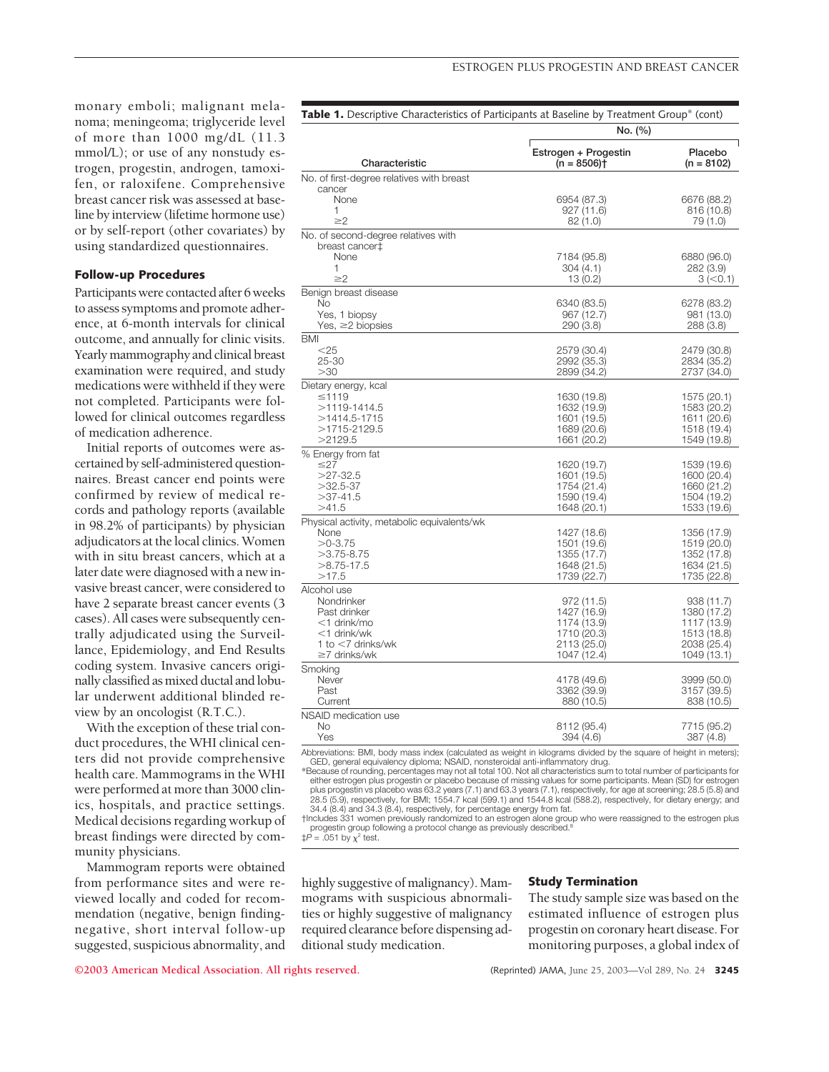monary emboli; malignant melanoma; meningeoma; triglyceride level of more than 1000 mg/dL (11.3 mmol/L); or use of any nonstudy estrogen, progestin, androgen, tamoxifen, or raloxifene. Comprehensive breast cancer risk was assessed at baseline by interview (lifetime hormone use) or by self-report (other covariates) by using standardized questionnaires.

## **Follow-up Procedures**

Participants were contacted after 6 weeks to assess symptoms and promote adherence, at 6-month intervals for clinical outcome, and annually for clinic visits. Yearly mammography and clinical breast examination were required, and study medications were withheld if they were not completed. Participants were followed for clinical outcomes regardless of medication adherence.

Initial reports of outcomes were ascertained by self-administered questionnaires. Breast cancer end points were confirmed by review of medical records and pathology reports (available in 98.2% of participants) by physician adjudicators at the local clinics.Women with in situ breast cancers, which at a later date were diagnosed with a new invasive breast cancer, were considered to have 2 separate breast cancer events (3 cases). All cases were subsequently centrally adjudicated using the Surveillance, Epidemiology, and End Results coding system. Invasive cancers originally classified as mixed ductal and lobular underwent additional blinded review by an oncologist (R.T.C.).

With the exception of these trial conduct procedures, the WHI clinical centers did not provide comprehensive health care. Mammograms in the WHI were performed at more than 3000 clinics, hospitals, and practice settings. Medical decisions regarding workup of breast findings were directed by community physicians.

Mammogram reports were obtained from performance sites and were reviewed locally and coded for recommendation (negative, benign findingnegative, short interval follow-up suggested, suspicious abnormality, and

|                                             | <b>Table 1.</b> Descriptive Characteristics of Participants at Baseline by Treatment Group* (cont) |                            |  |  |  |
|---------------------------------------------|----------------------------------------------------------------------------------------------------|----------------------------|--|--|--|
|                                             | No. (%)                                                                                            |                            |  |  |  |
| Characteristic                              | Estrogen + Progestin<br>(n = 8506)†                                                                | Placebo<br>$(n = 8102)$    |  |  |  |
| No. of first-degree relatives with breast   |                                                                                                    |                            |  |  |  |
| cancer                                      |                                                                                                    |                            |  |  |  |
| None<br>1                                   | 6954 (87.3)<br>927 (11.6)                                                                          | 6676 (88.2)<br>816 (10.8)  |  |  |  |
| $\geq$ 2                                    | 82 (1.0)                                                                                           | 79 (1.0)                   |  |  |  |
| No. of second-degree relatives with         |                                                                                                    |                            |  |  |  |
| breast cancer <sup>+</sup>                  |                                                                                                    |                            |  |  |  |
| None                                        | 7184 (95.8)                                                                                        | 6880 (96.0)                |  |  |  |
| 1                                           | 304 (4.1)                                                                                          | 282 (3.9)                  |  |  |  |
| $\geq$ 2                                    | 13 (0.2)                                                                                           | $3 \approx (-0.1)$         |  |  |  |
| Benign breast disease                       |                                                                                                    |                            |  |  |  |
| <b>No</b><br>Yes, 1 biopsy                  | 6340 (83.5)<br>967 (12.7)                                                                          | 6278 (83.2)<br>981 (13.0)  |  |  |  |
| Yes, $\geq$ biopsies                        | 290 (3.8)                                                                                          | 288 (3.8)                  |  |  |  |
| <b>BMI</b>                                  |                                                                                                    |                            |  |  |  |
| $<$ 25                                      | 2579 (30.4)                                                                                        | 2479 (30.8)                |  |  |  |
| 25-30                                       | 2992 (35.3)                                                                                        | 2834 (35.2)                |  |  |  |
| >30                                         | 2899 (34.2)                                                                                        | 2737 (34.0)                |  |  |  |
| Dietary energy, kcal                        |                                                                                                    |                            |  |  |  |
| ≤1119                                       | 1630 (19.8)                                                                                        | 1575 (20.1)                |  |  |  |
| $>1119 - 1414.5$<br>$>1414.5 - 1715$        | 1632 (19.9)<br>1601 (19.5)                                                                         | 1583 (20.2)<br>1611 (20.6) |  |  |  |
| $>1715-2129.5$                              | 1689 (20.6)                                                                                        | 1518 (19.4)                |  |  |  |
| >2129.5                                     | 1661 (20.2)                                                                                        | 1549 (19.8)                |  |  |  |
| % Energy from fat                           |                                                                                                    |                            |  |  |  |
| $\leq$ 27                                   | 1620 (19.7)                                                                                        | 1539 (19.6)                |  |  |  |
| $>27-32.5$                                  | 1601 (19.5)                                                                                        | 1600 (20.4)                |  |  |  |
| $>32.5-37$                                  | 1754 (21.4)                                                                                        | 1660 (21.2)                |  |  |  |
| $>37-41.5$<br>>41.5                         | 1590 (19.4)<br>1648 (20.1)                                                                         | 1504 (19.2)<br>1533 (19.6) |  |  |  |
| Physical activity, metabolic equivalents/wk |                                                                                                    |                            |  |  |  |
| None                                        | 1427 (18.6)                                                                                        | 1356 (17.9)                |  |  |  |
| $>0-3.75$                                   | 1501 (19.6)                                                                                        | 1519 (20.0)                |  |  |  |
| $>3.75 - 8.75$                              | 1355 (17.7)                                                                                        | 1352 (17.8)                |  |  |  |
| $>8.75 - 17.5$                              | 1648 (21.5)                                                                                        | 1634 (21.5)                |  |  |  |
| >17.5                                       | 1739 (22.7)                                                                                        | 1735 (22.8)                |  |  |  |
| Alcohol use                                 |                                                                                                    |                            |  |  |  |
| Nondrinker<br>Past drinker                  | 972 (11.5)<br>1427 (16.9)                                                                          | 938 (11.7)<br>1380 (17.2)  |  |  |  |
| $<$ 1 drink/mo                              | 1174 (13.9)                                                                                        | 1117 (13.9)                |  |  |  |
| $<$ 1 drink/wk                              | 1710 (20.3)                                                                                        | 1513 (18.8)                |  |  |  |
| 1 to $<$ 7 drinks/wk                        | 2113 (25.0)                                                                                        | 2038 (25.4)                |  |  |  |
| $\geq$ 7 drinks/wk                          | 1047 (12.4)                                                                                        | 1049 (13.1)                |  |  |  |
| Smoking                                     |                                                                                                    |                            |  |  |  |
| Never                                       | 4178 (49.6)                                                                                        | 3999 (50.0)                |  |  |  |
| Past<br>Current                             | 3362 (39.9)<br>880 (10.5)                                                                          | 3157 (39.5)<br>838 (10.5)  |  |  |  |
| NSAID medication use                        |                                                                                                    |                            |  |  |  |
| <b>No</b>                                   | 8112 (95.4)                                                                                        | 7715 (95.2)                |  |  |  |
| Yes                                         | 394 (4.6)                                                                                          | 387 (4.8)                  |  |  |  |
|                                             |                                                                                                    |                            |  |  |  |

Abbreviations: BMI, body mass index (calculated as weight in kilograms divided by the square of height in meters);<br>GED, general equivalency diploma; NSAID, nonsteroidal anti-inflammatory drug.

\*Because of rounding, percentages may not all total 100. Not all characteristics sum to total number of participants for either estrogen plus progestin or placebo because of missing values for some participants. Mean (SD) for estrogen<br>plus progestin vs placebo was 63.2 years (7.1) and 63.3 years (7.1), respectively, for age at screening; 28. 28.5 (5.9), respectively, for BMI; 1554.7 kcal (599.1) and 1544.8 kcal (588.2), respectively, for dietary energy; and

34.4 (8.4) and 34.3 (8.4), respectively, for percentage energy from fat. †Includes 331 women previously randomized to an estrogen alone group who were reassigned to the estrogen plus progestin group following a protocol change as previously described.<sup>8</sup><br> $\ddagger P = .051$  by  $\chi^2$  test.

highly suggestive of malignancy). Mammograms with suspicious abnormalities or highly suggestive of malignancy required clearance before dispensing additional study medication.

#### **Study Termination**

The study sample size was based on the estimated influence of estrogen plus progestin on coronary heart disease. For monitoring purposes, a global index of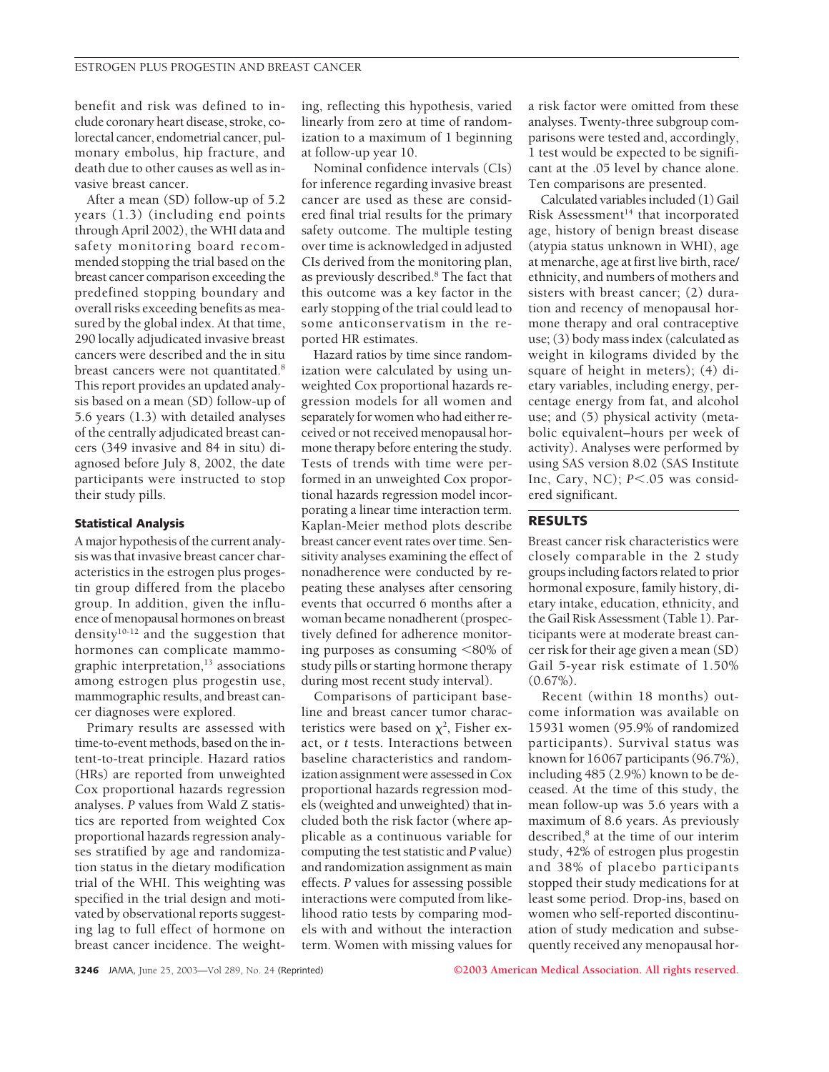benefit and risk was defined to include coronary heart disease, stroke, colorectal cancer, endometrial cancer, pulmonary embolus, hip fracture, and death due to other causes as well as invasive breast cancer.

After a mean (SD) follow-up of 5.2 years (1.3) (including end points through April 2002), the WHI data and safety monitoring board recommended stopping the trial based on the breast cancer comparison exceeding the predefined stopping boundary and overall risks exceeding benefits as measured by the global index. At that time, 290 locally adjudicated invasive breast cancers were described and the in situ breast cancers were not quantitated.<sup>8</sup> This report provides an updated analysis based on a mean (SD) follow-up of 5.6 years (1.3) with detailed analyses of the centrally adjudicated breast cancers (349 invasive and 84 in situ) diagnosed before July 8, 2002, the date participants were instructed to stop their study pills.

#### **Statistical Analysis**

A major hypothesis of the current analysis was that invasive breast cancer characteristics in the estrogen plus progestin group differed from the placebo group. In addition, given the influence of menopausal hormones on breast density<sup>10-12</sup> and the suggestion that hormones can complicate mammographic interpretation, $13$  associations among estrogen plus progestin use, mammographic results, and breast cancer diagnoses were explored.

Primary results are assessed with time-to-event methods, based on the intent-to-treat principle. Hazard ratios (HRs) are reported from unweighted Cox proportional hazards regression analyses. *P* values from Wald Z statistics are reported from weighted Cox proportional hazards regression analyses stratified by age and randomization status in the dietary modification trial of the WHI. This weighting was specified in the trial design and motivated by observational reports suggesting lag to full effect of hormone on breast cancer incidence. The weighting, reflecting this hypothesis, varied linearly from zero at time of randomization to a maximum of 1 beginning at follow-up year 10.

Nominal confidence intervals (CIs) for inference regarding invasive breast cancer are used as these are considered final trial results for the primary safety outcome. The multiple testing over time is acknowledged in adjusted CIs derived from the monitoring plan, as previously described.8 The fact that this outcome was a key factor in the early stopping of the trial could lead to some anticonservatism in the reported HR estimates.

Hazard ratios by time since randomization were calculated by using unweighted Cox proportional hazards regression models for all women and separately for women who had either received or not received menopausal hormone therapy before entering the study. Tests of trends with time were performed in an unweighted Cox proportional hazards regression model incorporating a linear time interaction term. Kaplan-Meier method plots describe breast cancer event rates over time. Sensitivity analyses examining the effect of nonadherence were conducted by repeating these analyses after censoring events that occurred 6 months after a woman became nonadherent (prospectively defined for adherence monitoring purposes as consuming  $< 80\%$  of study pills or starting hormone therapy during most recent study interval).

Comparisons of participant baseline and breast cancer tumor characteristics were based on  $\chi^2$ , Fisher exact, or *t* tests. Interactions between baseline characteristics and randomization assignment were assessed in Cox proportional hazards regression models (weighted and unweighted) that included both the risk factor (where applicable as a continuous variable for computing the test statistic and *P* value) and randomization assignment as main effects. *P* values for assessing possible interactions were computed from likelihood ratio tests by comparing models with and without the interaction term. Women with missing values for

a risk factor were omitted from these analyses. Twenty-three subgroup comparisons were tested and, accordingly, 1 test would be expected to be significant at the .05 level by chance alone. Ten comparisons are presented.

Calculated variables included (1) Gail Risk Assessment<sup>14</sup> that incorporated age, history of benign breast disease (atypia status unknown in WHI), age at menarche, age at first live birth, race/ ethnicity, and numbers of mothers and sisters with breast cancer; (2) duration and recency of menopausal hormone therapy and oral contraceptive use; (3) body mass index (calculated as weight in kilograms divided by the square of height in meters); (4) dietary variables, including energy, percentage energy from fat, and alcohol use; and (5) physical activity (metabolic equivalent–hours per week of activity). Analyses were performed by using SAS version 8.02 (SAS Institute Inc, Cary, NC);  $P \le 0.05$  was considered significant.

## **RESULTS**

Breast cancer risk characteristics were closely comparable in the 2 study groups including factors related to prior hormonal exposure, family history, dietary intake, education, ethnicity, and the Gail Risk Assessment (Table 1). Participants were at moderate breast cancer risk for their age given a mean (SD) Gail 5-year risk estimate of 1.50%  $(0.67\%)$ .

Recent (within 18 months) outcome information was available on 15931 women (95.9% of randomized participants). Survival status was known for 16067 participants (96.7%), including 485 (2.9%) known to be deceased. At the time of this study, the mean follow-up was 5.6 years with a maximum of 8.6 years. As previously described,<sup>8</sup> at the time of our interim study, 42% of estrogen plus progestin and 38% of placebo participants stopped their study medications for at least some period. Drop-ins, based on women who self-reported discontinuation of study medication and subsequently received any menopausal hor-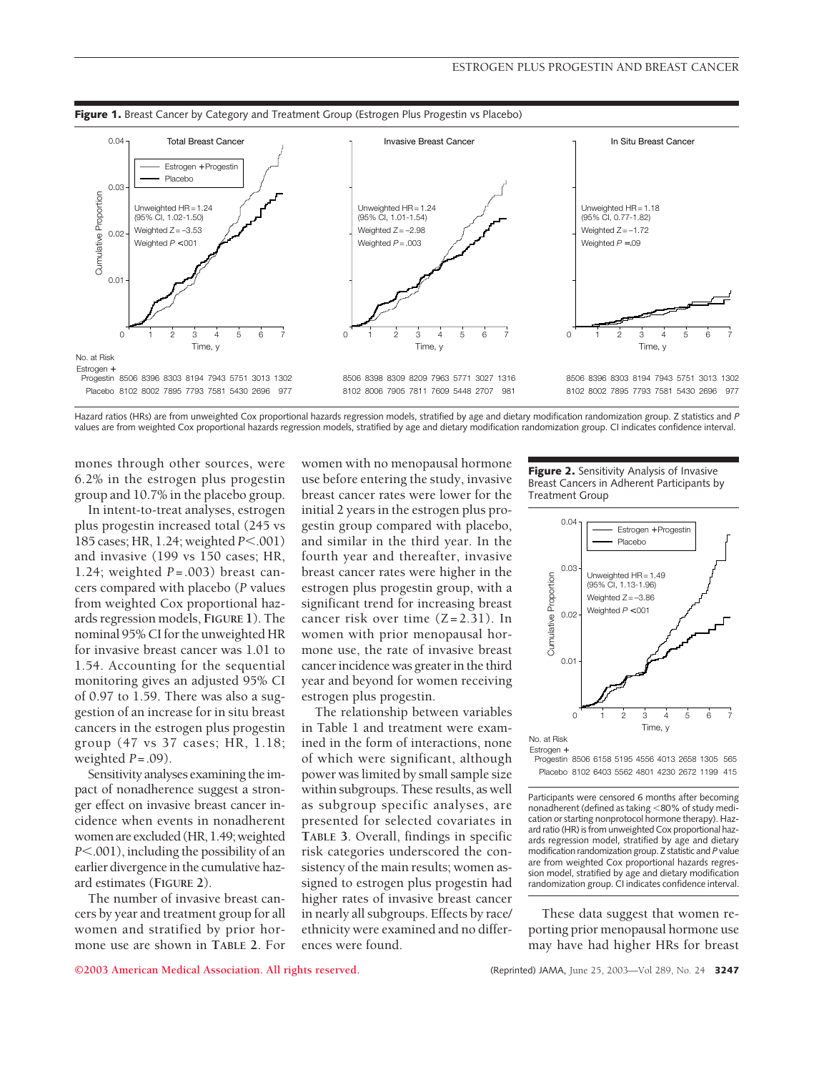

**Figure 1.** Breast Cancer by Category and Treatment Group (Estrogen Plus Progestin vs Placebo)

Hazard ratios (HRs) are from unweighted Cox proportional hazards regression models, stratified by age and dietary modification randomization group. Z statistics and *P* values are from weighted Cox proportional hazards regression models, stratified by age and dietary modification randomization group. CI indicates confidence interval.

mones through other sources, were 6.2% in the estrogen plus progestin group and 10.7% in the placebo group.

In intent-to-treat analyses, estrogen plus progestin increased total (245 vs 185 cases; HR, 1.24; weighted  $P$ <.001) and invasive (199 vs 150 cases; HR, 1.24; weighted *P*=.003) breast cancers compared with placebo (*P* values from weighted Cox proportional hazards regression models, **FIGURE 1**). The nominal 95% CI for the unweighted HR for invasive breast cancer was 1.01 to 1.54. Accounting for the sequential monitoring gives an adjusted 95% CI of 0.97 to 1.59. There was also a suggestion of an increase for in situ breast cancers in the estrogen plus progestin group (47 vs 37 cases; HR, 1.18; weighted *P*=.09).

Sensitivity analyses examining the impact of nonadherence suggest a stronger effect on invasive breast cancer incidence when events in nonadherent women are excluded (HR, 1.49; weighted *P*.001), including the possibility of an earlier divergence in the cumulative hazard estimates (**FIGURE 2**).

The number of invasive breast cancers by year and treatment group for all women and stratified by prior hormone use are shown in **TABLE 2**. For women with no menopausal hormone use before entering the study, invasive breast cancer rates were lower for the initial 2 years in the estrogen plus progestin group compared with placebo, and similar in the third year. In the fourth year and thereafter, invasive breast cancer rates were higher in the estrogen plus progestin group, with a significant trend for increasing breast cancer risk over time (Z=2.31). In women with prior menopausal hormone use, the rate of invasive breast cancer incidence was greater in the third year and beyond for women receiving estrogen plus progestin.

The relationship between variables in Table 1 and treatment were examined in the form of interactions, none of which were significant, although power was limited by small sample size within subgroups. These results, as well as subgroup specific analyses, are presented for selected covariates in **TABLE 3**. Overall, findings in specific risk categories underscored the consistency of the main results; women assigned to estrogen plus progestin had higher rates of invasive breast cancer in nearly all subgroups. Effects by race/ ethnicity were examined and no differences were found.

#### **Figure 2.** Sensitivity Analysis of Invasive Breast Cancers in Adherent Participants by Treatment Group



Estrogen + No. at Risk

Progestin 8506 6158 5195 4556 4013 2658 1305 565 Placebo 8102 6403 5562 4801 4230 2672 1199 415

Participants were censored 6 months after becoming nonadherent (defined as taking  $< 80\%$  of study medication or starting nonprotocol hormone therapy). Hazard ratio (HR) is from unweighted Cox proportional haz-ards regression model, stratified by age and dietary modification randomization group. Z statistic and *P* value are from weighted Cox proportional hazards regression model, stratified by age and dietary modification randomization group. CI indicates confidence interval.

These data suggest that women reporting prior menopausal hormone use may have had higher HRs for breast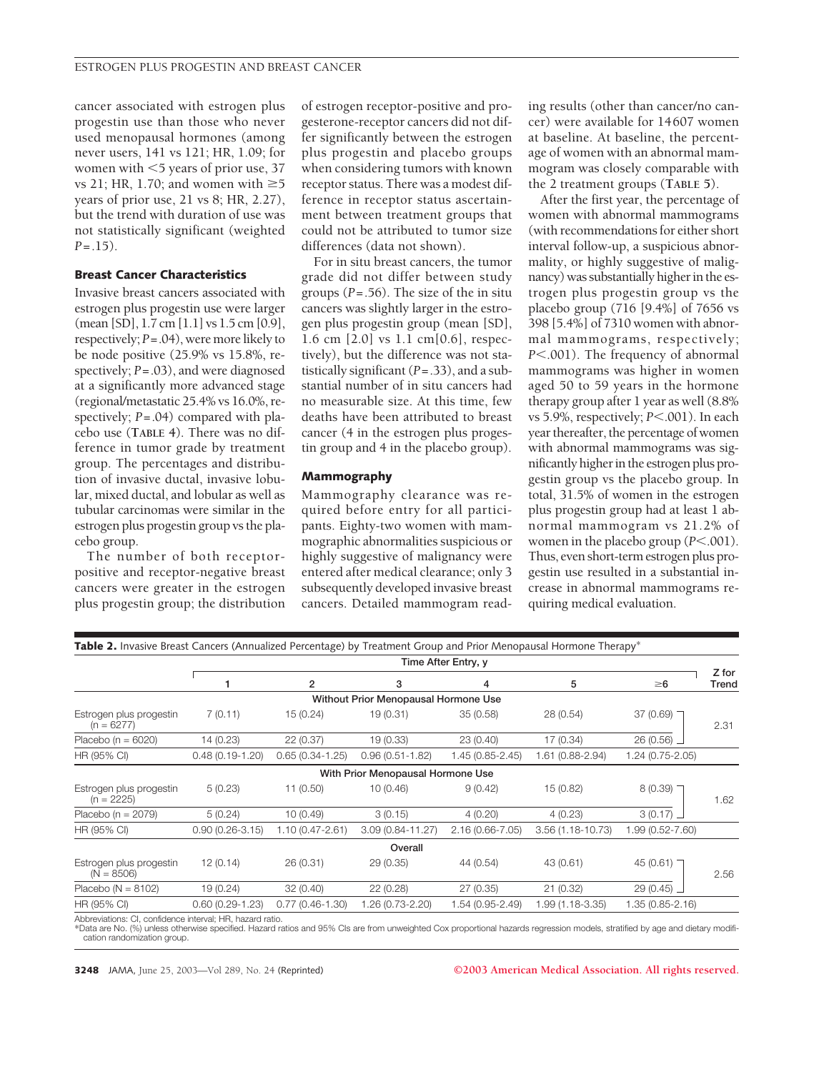cancer associated with estrogen plus progestin use than those who never used menopausal hormones (among never users, 141 vs 121; HR, 1.09; for women with  $<$  5 years of prior use, 37 vs 21; HR, 1.70; and women with  $\geq 5$ years of prior use, 21 vs 8; HR, 2.27), but the trend with duration of use was not statistically significant (weighted *P*=.15).

### **Breast Cancer Characteristics**

Invasive breast cancers associated with estrogen plus progestin use were larger (mean [SD], 1.7 cm [1.1] vs 1.5 cm [0.9], respectively; *P*=.04), were more likely to be node positive (25.9% vs 15.8%, respectively; *P*=.03), and were diagnosed at a significantly more advanced stage (regional/metastatic 25.4% vs 16.0%, respectively; *P*=.04) compared with placebo use (**TABLE 4**). There was no difference in tumor grade by treatment group. The percentages and distribution of invasive ductal, invasive lobular, mixed ductal, and lobular as well as tubular carcinomas were similar in the estrogen plus progestin group vs the placebo group.

The number of both receptorpositive and receptor-negative breast cancers were greater in the estrogen plus progestin group; the distribution of estrogen receptor-positive and progesterone-receptor cancers did not differ significantly between the estrogen plus progestin and placebo groups when considering tumors with known receptor status. There was a modest difference in receptor status ascertainment between treatment groups that could not be attributed to tumor size differences (data not shown).

For in situ breast cancers, the tumor grade did not differ between study groups (*P*=.56). The size of the in situ cancers was slightly larger in the estrogen plus progestin group (mean [SD], 1.6 cm [2.0] vs 1.1 cm[0.6], respectively), but the difference was not statistically significant (*P*=.33), and a substantial number of in situ cancers had no measurable size. At this time, few deaths have been attributed to breast cancer (4 in the estrogen plus progestin group and 4 in the placebo group).

## **Mammography**

Mammography clearance was required before entry for all participants. Eighty-two women with mammographic abnormalities suspicious or highly suggestive of malignancy were entered after medical clearance; only 3 subsequently developed invasive breast cancers. Detailed mammogram reading results (other than cancer/no cancer) were available for 14607 women at baseline. At baseline, the percentage of women with an abnormal mammogram was closely comparable with the 2 treatment groups (**TABLE 5**).

After the first year, the percentage of women with abnormal mammograms (with recommendations for either short interval follow-up, a suspicious abnormality, or highly suggestive of malignancy) was substantially higher in the estrogen plus progestin group vs the placebo group (716 [9.4%] of 7656 vs 398 [5.4%] of 7310 women with abnormal mammograms, respectively; *P*<.001). The frequency of abnormal mammograms was higher in women aged 50 to 59 years in the hormone therapy group after 1 year as well (8.8% vs 5.9%, respectively; *P*<.001). In each year thereafter, the percentage of women with abnormal mammograms was significantly higher in the estrogen plus progestin group vs the placebo group. In total, 31.5% of women in the estrogen plus progestin group had at least 1 abnormal mammogram vs 21.2% of women in the placebo group  $(P<.001)$ . Thus, even short-term estrogen plus progestin use resulted in a substantial increase in abnormal mammograms requiring medical evaluation.

| Table 2. Invasive Breast Cancers (Annualized Percentage) by Treatment Group and Prior Menopausal Hormone Therapy <sup>*</sup> |                     |                     |                                      |                     |                   |                  |                |  |
|-------------------------------------------------------------------------------------------------------------------------------|---------------------|---------------------|--------------------------------------|---------------------|-------------------|------------------|----------------|--|
|                                                                                                                               |                     | Time After Entry, y |                                      |                     |                   |                  |                |  |
|                                                                                                                               |                     | $\overline{2}$      | 3                                    | 4                   | 5                 | $\geq 6$         | Z for<br>Trend |  |
|                                                                                                                               |                     |                     | Without Prior Menopausal Hormone Use |                     |                   |                  |                |  |
| Estrogen plus progestin<br>$(n = 6277)$                                                                                       | 7(0.11)             | 15 (0.24)           | 19 (0.31)                            | 35(0.58)            | 28 (0.54)         | 37 (0.69)        | 2.31           |  |
| Placebo ( $n = 6020$ )                                                                                                        | 14 (0.23)           | 22(0.37)            | 19 (0.33)                            | 23 (0.40)           | 17 (0.34)         | 26(0.56)         |                |  |
| HR (95% CI)                                                                                                                   | $0.48(0.19 - 1.20)$ | $0.65(0.34 - 1.25)$ | $0.96(0.51 - 1.82)$                  | 1.45 (0.85-2.45)    | 1.61 (0.88-2.94)  | 1.24 (0.75-2.05) |                |  |
|                                                                                                                               |                     |                     | With Prior Menopausal Hormone Use    |                     |                   |                  |                |  |
| Estrogen plus progestin<br>$(n = 2225)$                                                                                       | 5(0.23)             | 11 (0.50)           | 10(0.46)                             | 9(0.42)             | 15 (0.82)         | 8(0.39)          | 1.62           |  |
| Placebo ( $n = 2079$ )                                                                                                        | 5(0.24)             | 10(0.49)            | 3(0.15)                              | 4(0.20)             | 4(0.23)           | $3(0.17)$ $-$    |                |  |
| HR (95% CI)                                                                                                                   | $0.90(0.26-3.15)$   | 1.10 (0.47-2.61)    | 3.09 (0.84-11.27)                    | $2.16(0.66 - 7.05)$ | 3.56 (1.18-10.73) | 1.99 (0.52-7.60) |                |  |
|                                                                                                                               |                     |                     | Overall                              |                     |                   |                  |                |  |
| Estrogen plus progestin<br>$(N = 8506)$                                                                                       | 12(0.14)            | 26 (0.31)           | 29 (0.35)                            | 44 (0.54)           | 43 (0.61)         | 45 (0.61)        | 2.56           |  |
| Placebo ( $N = 8102$ )                                                                                                        | 19 (0.24)           | 32 (0.40)           | 22 (0.28)                            | 27 (0.35)           | 21(0.32)          | $29(0.45)$ $-$   |                |  |
| HR (95% CI)                                                                                                                   | $0.60(0.29 - 1.23)$ | $0.77(0.46 - 1.30)$ | 1.26 (0.73-2.20)                     | 1.54 (0.95-2.49)    | 1.99 (1.18-3.35)  | 1.35 (0.85-2.16) |                |  |
|                                                                                                                               |                     |                     |                                      |                     |                   |                  |                |  |

Abbreviations: CI, confidence interval; HR, hazard ratio.

\*Data are No. (%) unless otherwise specified. Hazard ratios and 95% CIs are from unweighted Cox proportional hazards regression models, stratified by age and dietary modification randomization group.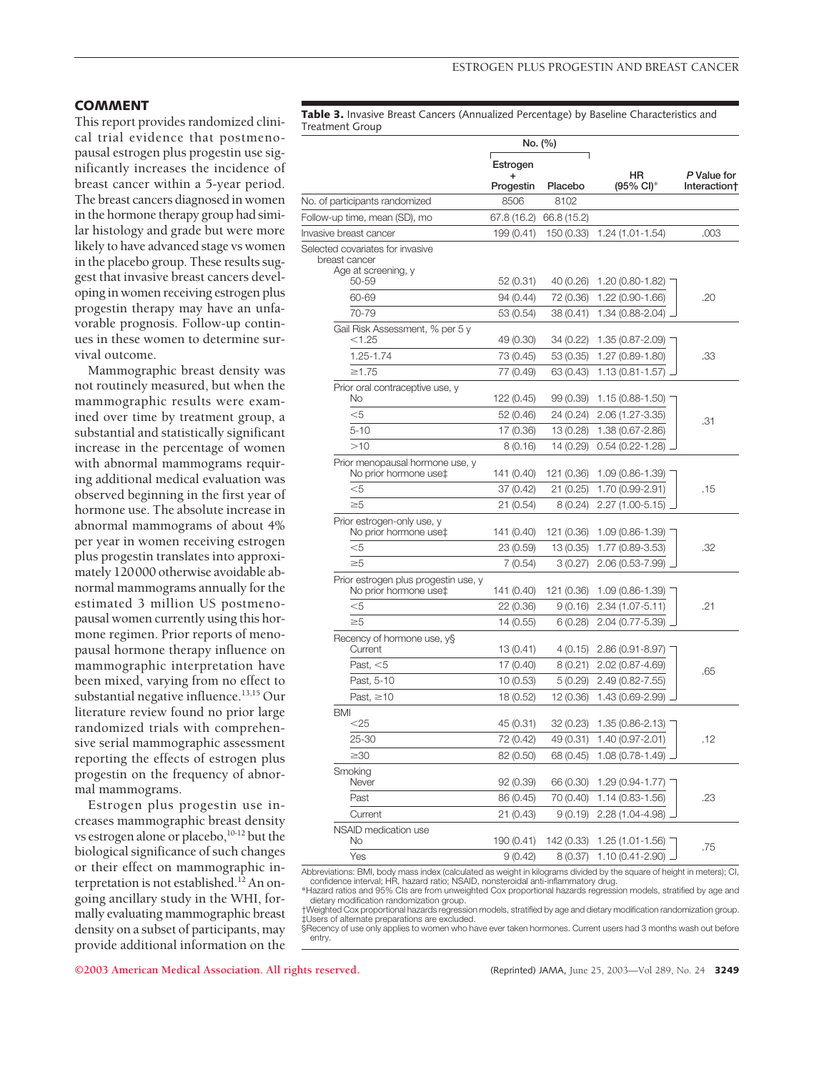# **COMMENT**

This report provides randomized clinical trial evidence that postmenopausal estrogen plus progestin use significantly increases the incidence of breast cancer within a 5-year period. The breast cancers diagnosed in women in the hormone therapy group had similar histology and grade but were more likely to have advanced stage vs women in the placebo group. These results suggest that invasive breast cancers developing in women receiving estrogen plus progestin therapy may have an unfavorable prognosis. Follow-up continues in these women to determine survival outcome.

Mammographic breast density was not routinely measured, but when the mammographic results were examined over time by treatment group, a substantial and statistically significant increase in the percentage of women with abnormal mammograms requiring additional medical evaluation was observed beginning in the first year of hormone use. The absolute increase in abnormal mammograms of about 4% per year in women receiving estrogen plus progestin translates into approximately 120000 otherwise avoidable abnormal mammograms annually for the estimated 3 million US postmenopausal women currently using this hormone regimen. Prior reports of menopausal hormone therapy influence on mammographic interpretation have been mixed, varying from no effect to substantial negative influence.<sup>13,15</sup> Our literature review found no prior large randomized trials with comprehensive serial mammographic assessment reporting the effects of estrogen plus progestin on the frequency of abnormal mammograms.

Estrogen plus progestin use increases mammographic breast density vs estrogen alone or placebo,  $10-12$  but the biological significance of such changes or their effect on mammographic interpretation is not established.<sup>12</sup> An ongoing ancillary study in the WHI, formally evaluating mammographic breast density on a subset of participants, may provide additional information on the **Table 3.** Invasive Breast Cancers (Annualized Percentage) by Baseline Characteristics and Treatment Group

|                                                                          | No. (%)     |             |                            |                             |
|--------------------------------------------------------------------------|-------------|-------------|----------------------------|-----------------------------|
|                                                                          | Estrogen    |             |                            |                             |
|                                                                          | Progestin   | Placebo     | ΗR<br>(95% CI)*            | P Value for<br>Interaction† |
| No. of participants randomized                                           | 8506        | 8102        |                            |                             |
| Follow-up time, mean (SD), mo                                            | 67.8 (16.2) | 66.8 (15.2) |                            |                             |
| Invasive breast cancer                                                   | 199 (0.41)  | 150 (0.33)  | 1.24 (1.01-1.54)           | .003                        |
| Selected covariates for invasive<br>breast cancer<br>Age at screening, y |             |             |                            |                             |
| 50-59                                                                    | 52 (0.31)   | 40 (0.26)   | 1.20 (0.80-1.82)           |                             |
| 60-69                                                                    | 94 (0.44)   | 72 (0.36)   | 1.22 (0.90-1.66)           | .20                         |
| 70-79                                                                    | 53 (0.54)   | 38 (0.41)   | 1.34 (0.88-2.04)           |                             |
| Gail Risk Assessment, % per 5 y<br>$<$ 1.25                              | 49 (0.30)   | 34 (0.22)   | 1.35 (0.87-2.09)           |                             |
| 1.25-1.74                                                                | 73 (0.45)   | 53 (0.35)   | 1.27 (0.89-1.80)           | .33                         |
| $\geq 1.75$                                                              | 77 (0.49)   | 63 (0.43)   | 1.13 (0.81-1.57)           |                             |
| Prior oral contraceptive use, y<br>No                                    | 122 (0.45)  | 99 (0.39)   | $1.15(0.88 - 1.50)$        |                             |
| $<$ 5                                                                    | 52 (0.46)   | 24 (0.24)   | 2.06 (1.27-3.35)           | .31                         |
| $5 - 10$                                                                 | 17 (0.36)   | 13 (0.28)   | 1.38 (0.67-2.86)           |                             |
| >10                                                                      | 8(0.16)     | 14 (0.29)   | $0.54(0.22 - 1.28)$        |                             |
| Prior menopausal hormone use, y<br>No prior hormone use‡                 | 141 (0.40)  | 121 (0.36)  | 1.09 (0.86-1.39)           |                             |
| $<$ 5                                                                    | 37 (0.42)   | 21(0.25)    | 1.70 (0.99-2.91)           | .15                         |
| $\geq 5$                                                                 | 21 (0.54)   | 8(0.24)     | 2.27 (1.00-5.15)           |                             |
| Prior estrogen-only use, y<br>No prior hormone use‡                      | 141 (0.40)  | 121 (0.36)  | $1.09(0.86 - 1.39)$        |                             |
| $<$ 5                                                                    | 23 (0.59)   | 13 (0.35)   | 1.77 (0.89-3.53)           | .32                         |
| $\geq 5$                                                                 | 7(0.54)     | 3(0.27)     | $2.06(0.53 - 7.99)$        |                             |
| Prior estrogen plus progestin use, y<br>No prior hormone use‡            | 141 (0.40)  | 121 (0.36)  | 1.09 (0.86-1.39)           |                             |
| $<$ 5                                                                    | 22 (0.36)   | 9(0.16)     | 2.34 (1.07-5.11)           | .21                         |
| $\geq 5$                                                                 | 14 (0.55)   | 6(0.28)     | 2.04 (0.77-5.39)           |                             |
| Recency of hormone use, y§<br>Current                                    | 13 (0.41)   | 4 (0.15)    | $2.86(0.91 - 8.97)$        |                             |
| Past, $<$ 5                                                              | 17 (0.40)   | 8(0.21)     | 2.02 (0.87-4.69)           | .65                         |
| Past, 5-10                                                               | 10(0.53)    | 5 (0.29)    | 2.49 (0.82-7.55)           |                             |
| Past, $\geq 10$                                                          | 18 (0.52)   | 12 (0.36)   | 1.43 (0.69-2.99)           |                             |
| <b>BMI</b><br>$<$ 25                                                     | 45 (0.31)   |             | 32 (0.23) 1.35 (0.86-2.13) |                             |
| 25-30                                                                    | 72 (0.42)   |             | 49 (0.31) 1.40 (0.97-2.01) | .12                         |
| $\geq 30$                                                                | 82 (0.50)   | 68 (0.45)   | $1.08(0.78-1.49)$          |                             |
| Smokina<br>Never                                                         | 92 (0.39)   | 66 (0.30)   | 1.29 (0.94-1.77)           |                             |
| Past                                                                     | 86 (0.45)   | 70 (0.40)   | 1.14 (0.83-1.56)           | .23                         |
| Current                                                                  | 21 (0.43)   | 9(0.19)     | 2.28 (1.04-4.98)           |                             |
| NSAID medication use<br>No.                                              | 190 (0.41)  | 142 (0.33)  | 1.25 (1.01-1.56)           | .75                         |
| Yes                                                                      | 9(0.42)     | 8(0.37)     | $1.10(0.41 - 2.90)$        |                             |

Abbreviations: BMI, body mass index (calculated as weight in kilograms divided by the square of height in meters); CI, confidence interval; HR, hazard ratio; NSAID, nonsteroidal anti-inflammatory drug. \*Hazard ratios and 95% CIs are from unweighted Cox proportional hazards regression models, stratified by age and

dietary modification randomization group.

†Weighted Cox proportional hazards regression models, stratified by age and dietary modification randomization group. ‡Users of alternate preparations are excluded. §Recency of use only applies to women who have ever taken hormones. Current users had 3 months wash out before entry.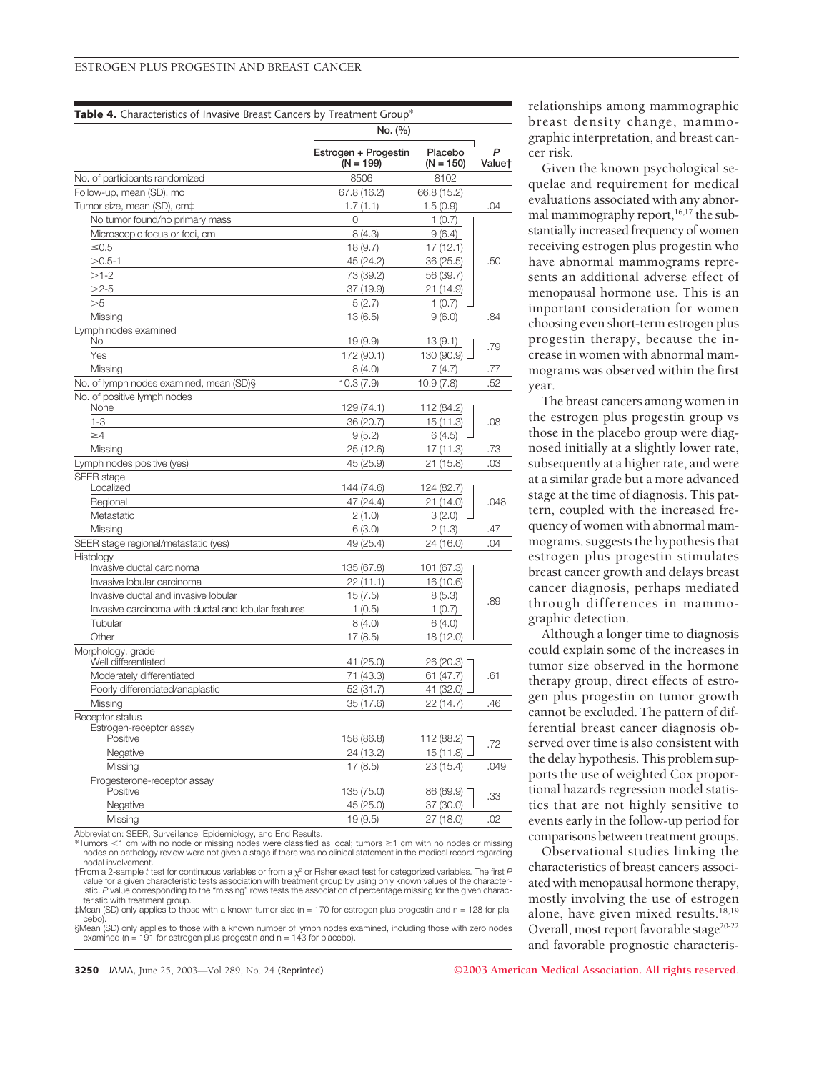|                                                        | <b>Table 4.</b> Characteristics of Invasive Breast Cancers by Treatment Group <sup>*</sup> |                        |             |  |  |
|--------------------------------------------------------|--------------------------------------------------------------------------------------------|------------------------|-------------|--|--|
|                                                        | No. (%)                                                                                    |                        |             |  |  |
|                                                        | Estrogen + Progestin<br>$(N = 199)$                                                        | Placebo<br>$(N = 150)$ | P<br>Value† |  |  |
| No. of participants randomized                         | 8506                                                                                       | 8102                   |             |  |  |
| Follow-up, mean (SD), mo                               | 67.8 (16.2)                                                                                | 66.8 (15.2)            |             |  |  |
| Tumor size, mean (SD), cm‡                             | 1.7(1.1)                                                                                   | 1.5(0.9)               | .04         |  |  |
| No tumor found/no primary mass                         | 0                                                                                          | 1(0.7)                 |             |  |  |
| Microscopic focus or foci, cm                          | 8(4.3)                                                                                     | 9(6.4)                 |             |  |  |
| ≤0.5                                                   | 18 (9.7)                                                                                   | 17(12.1)               |             |  |  |
| $>0.5-1$                                               | 45 (24.2)                                                                                  | 36 (25.5)              | .50         |  |  |
| $>1-2$                                                 | 73 (39.2)                                                                                  | 56 (39.7)              |             |  |  |
| $>2-5$                                                 | 37 (19.9)                                                                                  | 21 (14.9)              |             |  |  |
| >5                                                     | 5(2.7)                                                                                     | 1(0.7)                 |             |  |  |
| Missing                                                | 13(6.5)                                                                                    | 9(6.0)                 | .84         |  |  |
| Lymph nodes examined<br>No                             | 19 (9.9)                                                                                   | 13 (9.1)               |             |  |  |
| Yes                                                    | 172 (90.1)                                                                                 | 130 (90.9)             | .79         |  |  |
| Missing                                                | 8(4.0)                                                                                     | 7(4.7)                 | .77         |  |  |
| No. of lymph nodes examined, mean (SD)§                | 10.3(7.9)                                                                                  | 10.9(7.8)              | .52         |  |  |
| No. of positive lymph nodes                            |                                                                                            |                        |             |  |  |
| None                                                   | 129 (74.1)                                                                                 | 112 (84.2)             |             |  |  |
| $1 - 3$                                                | 36 (20.7)                                                                                  | 15(11.3)               | .08         |  |  |
| $\geq 4$                                               | 9(5.2)                                                                                     | 6(4.5)                 |             |  |  |
| Missing                                                | 25(12.6)                                                                                   | 17(11.3)               | .73         |  |  |
| Lymph nodes positive (yes)                             | 45 (25.9)                                                                                  | 21 (15.8)              | .03         |  |  |
| <b>SEER</b> stage<br>Localized                         | 144 (74.6)                                                                                 | 124 (82.7)             |             |  |  |
| Regional                                               | 47 (24.4)                                                                                  | 21(14.0)               | .048        |  |  |
| Metastatic                                             | 2(1.0)                                                                                     | 3(2.0)                 |             |  |  |
| Missing                                                | 6(3.0)                                                                                     | 2(1.3)                 | .47         |  |  |
| SEER stage regional/metastatic (yes)                   | 49 (25.4)                                                                                  | 24 (16.0)              | .04         |  |  |
| Histology<br>Invasive ductal carcinoma                 | 135 (67.8)                                                                                 |                        |             |  |  |
| Invasive lobular carcinoma                             | 22(11.1)                                                                                   | 101 (67.3)             |             |  |  |
|                                                        |                                                                                            | 16 (10.6)              |             |  |  |
| Invasive ductal and invasive lobular                   | 15(7.5)                                                                                    | 8(5.3)                 | .89         |  |  |
| Invasive carcinoma with ductal and lobular features    | 1(0.5)                                                                                     | 1(0.7)                 |             |  |  |
| Tubular                                                | 8(4.0)                                                                                     | 6(4.0)                 |             |  |  |
| Other                                                  | 17(8.5)                                                                                    | 18 (12.0)              |             |  |  |
| Morphology, grade<br>Well differentiated               | 41 (25.0)                                                                                  | 26 (20.3)              |             |  |  |
| Moderately differentiated                              | 71 (43.3)                                                                                  | 61 (47.7)              | .61         |  |  |
| Poorly differentiated/anaplastic                       | 52 (31.7)                                                                                  | 41 (32.0).             |             |  |  |
| Missing                                                | 35(17.6)                                                                                   | 22 (14.7)              | .46         |  |  |
| Receptor status<br>Estrogen-receptor assay<br>Positive | 158 (86.8)                                                                                 | 112 (88.2)             | .72         |  |  |
| Negative                                               | 24 (13.2)                                                                                  | 15(11.8)               |             |  |  |
| Missing                                                | 17(8.5)                                                                                    | 23 (15.4)              | .049        |  |  |
| Progesterone-receptor assay<br>Positive                | 135 (75.0)                                                                                 | 86 (69.9)              | .33         |  |  |
| Negative                                               | 45 (25.0)                                                                                  | 37 (30.0)              |             |  |  |
| Missing                                                | 19 (9.5)                                                                                   | 27 (18.0)              | .02         |  |  |

Abbreviation: SEER, Surveillance, Epidemiology, and End Results.<br>\*Tumors <1 cm with no node or missing nodes were classified as local; tumors ≥1 cm with no nodes or missing nodes on pathology review were not given a stage if there was no clinical statement in the medical record regarding nodal involvement.

†From a 2-sample *t* test for continuous variables or from a  $\chi^2$  or Fisher exact test for categorized variables. The first P value for a given characteristic tests association with treatment group by using only known values of the characteristic. *P* value corresponding to the "missing" rows tests the association of percentage missing for the given characteristic with treatment group. ‡Mean (SD) only applies to those with a known tumor size (n = 170 for estrogen plus progestin and n = 128 for pla-

cebo).

§Mean (SD) only applies to those with a known number of lymph nodes examined, including those with zero nodes examined (n = 191 for estrogen plus progestin and n = 143 for placebo).

relationships among mammographic breast density change, mammographic interpretation, and breast cancer risk.

Given the known psychological sequelae and requirement for medical evaluations associated with any abnormal mammography report,<sup>16,17</sup> the substantially increased frequency of women receiving estrogen plus progestin who have abnormal mammograms represents an additional adverse effect of menopausal hormone use. This is an important consideration for women choosing even short-term estrogen plus progestin therapy, because the increase in women with abnormal mammograms was observed within the first year.

The breast cancers among women in the estrogen plus progestin group vs those in the placebo group were diagnosed initially at a slightly lower rate, subsequently at a higher rate, and were at a similar grade but a more advanced stage at the time of diagnosis. This pattern, coupled with the increased frequency of women with abnormal mammograms, suggests the hypothesis that estrogen plus progestin stimulates breast cancer growth and delays breast cancer diagnosis, perhaps mediated through differences in mammographic detection.

Although a longer time to diagnosis could explain some of the increases in tumor size observed in the hormone therapy group, direct effects of estrogen plus progestin on tumor growth cannot be excluded. The pattern of differential breast cancer diagnosis observed over time is also consistent with the delay hypothesis. This problem supports the use of weighted Cox proportional hazards regression model statistics that are not highly sensitive to events early in the follow-up period for comparisons between treatment groups.

Observational studies linking the characteristics of breast cancers associated with menopausal hormone therapy, mostly involving the use of estrogen alone, have given mixed results.<sup>18,19</sup> Overall, most report favorable stage<sup>20-22</sup> and favorable prognostic characteris-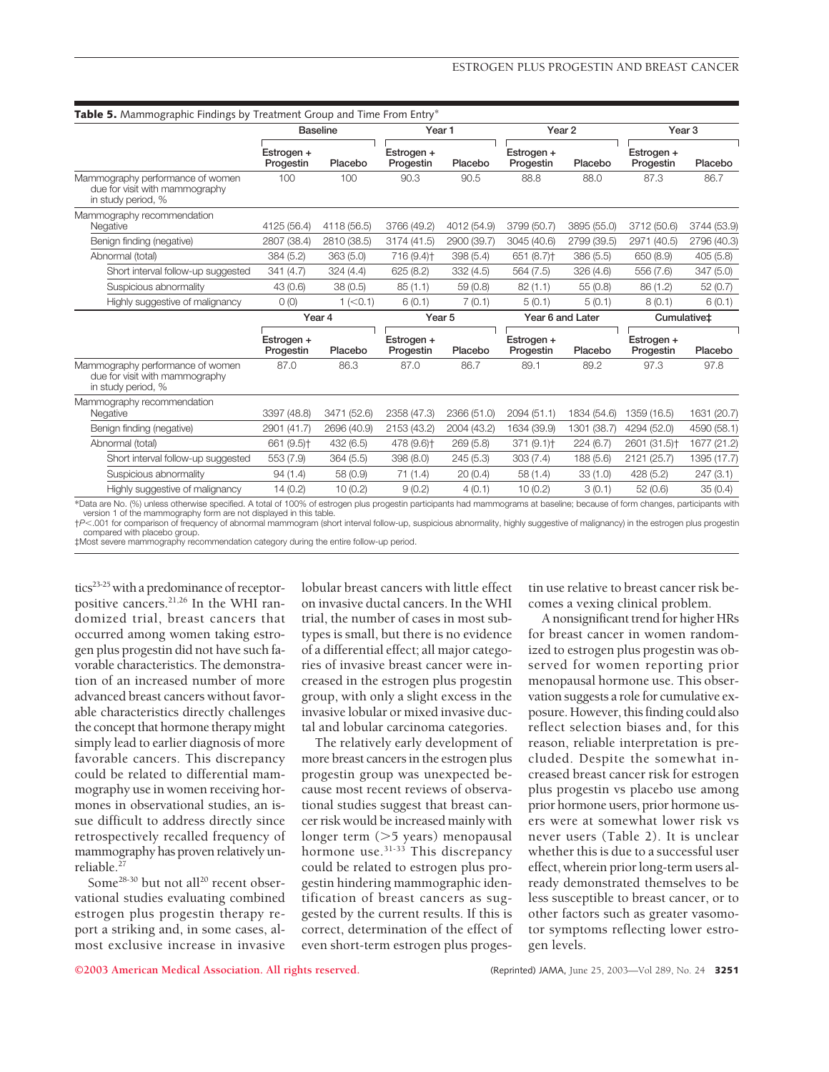| <b>Table 5.</b> Mammographic Findings by Treatment Group and Time From Entry*            |                         |             |                         |             |                         |             |                          |             |
|------------------------------------------------------------------------------------------|-------------------------|-------------|-------------------------|-------------|-------------------------|-------------|--------------------------|-------------|
|                                                                                          | <b>Baseline</b>         |             | Year <sub>1</sub>       |             | Year <sub>2</sub>       |             | Year <sub>3</sub>        |             |
|                                                                                          | Estrogen +<br>Progestin | Placebo     | Estrogen +<br>Progestin | Placebo     | Estrogen +<br>Progestin | Placebo     | Estrogen +<br>Progestin  | Placebo     |
| Mammography performance of women<br>due for visit with mammography<br>in study period, % | 100                     | 100         | 90.3                    | 90.5        | 88.8                    | 88.0        | 87.3                     | 86.7        |
| Mammography recommendation<br>Negative                                                   | 4125 (56.4)             | 4118 (56.5) | 3766 (49.2)             | 4012 (54.9) | 3799 (50.7)             | 3895 (55.0) | 3712 (50.6)              | 3744 (53.9) |
| Benign finding (negative)                                                                | 2807 (38.4)             | 2810 (38.5) | 3174 (41.5)             | 2900 (39.7) | 3045 (40.6)             | 2799 (39.5) | 2971 (40.5)              | 2796 (40.3) |
| Abnormal (total)                                                                         | 384 (5.2)               | 363 (5.0)   | 716 (9.4) <sup>+</sup>  | 398 (5.4)   | 651 (8.7) <sup>+</sup>  | 386 (5.5)   | 650 (8.9)                | 405(5.8)    |
| Short interval follow-up suggested                                                       | 341 (4.7)               | 324 (4.4)   | 625(8.2)                | 332 (4.5)   | 564 (7.5)               | 326(4.6)    | 556 (7.6)                | 347(5.0)    |
| Suspicious abnormality                                                                   | 43(0.6)                 | 38(0.5)     | 85(1.1)                 | 59(0.8)     | 82(1.1)                 | 55(0.8)     | 86(1.2)                  | 52(0.7)     |
| Highly suggestive of malignancy                                                          | 0(0)                    | 1 (< 0.1)   | 6(0.1)                  | 7(0.1)      | 5(0.1)                  | 5(0.1)      | 8(0.1)                   | 6(0.1)      |
|                                                                                          | Year 4                  |             | Year <sub>5</sub>       |             | Year 6 and Later        |             | Cumulative‡              |             |
|                                                                                          | Estrogen +<br>Progestin | Placebo     | Estrogen +<br>Progestin | Placebo     | Estrogen +<br>Progestin | Placebo     | Estrogen +<br>Progestin  | Placebo     |
| Mammography performance of women<br>due for visit with mammography<br>in study period, % | 87.0                    | 86.3        | 87.0                    | 86.7        | 89.1                    | 89.2        | 97.3                     | 97.8        |
| Mammography recommendation<br>Negative                                                   | 3397 (48.8)             | 3471 (52.6) | 2358 (47.3)             | 2366 (51.0) | 2094 (51.1)             | 1834 (54.6) | 1359 (16.5)              | 1631 (20.7) |
| Benign finding (negative)                                                                | 2901 (41.7)             | 2696 (40.9) | 2153 (43.2)             | 2004 (43.2) | 1634 (39.9)             | 1301 (38.7) | 4294 (52.0)              | 4590 (58.1) |
| Abnormal (total)                                                                         | 661 (9.5) <sup>+</sup>  | 432 (6.5)   | 478 (9.6) <sup>+</sup>  | 269(5.8)    | 371(9.1)                | 224(6.7)    | 2601 (31.5) <sup>+</sup> | 1677 (21.2) |
| Short interval follow-up suggested                                                       | 553 (7.9)               | 364 (5.5)   | 398 (8.0)               | 245(5.3)    | 303(7.4)                | 188 (5.6)   | 2121 (25.7)              | 1395 (17.7) |
| Suspicious abnormality                                                                   | 94(1.4)                 | 58 (0.9)    | 71(1.4)                 | 20(0.4)     | 58(1.4)                 | 33(1.0)     | 428 (5.2)                | 247(3.1)    |
| Highly suggestive of malignancy                                                          | 14(0.2)                 | 10(0.2)     | 9(0.2)                  | 4(0.1)      | 10(0.2)                 | 3(0.1)      | 52(0.6)                  | 35(0.4)     |

\*Data are No. (%) unless otherwise specified. A total of 100% of estrogen plus progestin participants had mammograms at baseline; because of form changes, participants with version 1 of the mammography form are not displayed in this table.<br>†P<.001 for comparison of frequency of abnormal mammogram (short interval follow-up, suspicious abnormality, highly suggestive of malignancy) in the estrog

compared with placebo group.

‡Most severe mammography recommendation category during the entire follow-up period.

tics<sup>23-25</sup> with a predominance of receptorpositive cancers.21,26 In the WHI randomized trial, breast cancers that occurred among women taking estrogen plus progestin did not have such favorable characteristics. The demonstration of an increased number of more advanced breast cancers without favorable characteristics directly challenges the concept that hormone therapy might simply lead to earlier diagnosis of more favorable cancers. This discrepancy could be related to differential mammography use in women receiving hormones in observational studies, an issue difficult to address directly since retrospectively recalled frequency of mammography has proven relatively unreliable. $27$ 

Some<sup>28-30</sup> but not all<sup>20</sup> recent observational studies evaluating combined estrogen plus progestin therapy report a striking and, in some cases, almost exclusive increase in invasive lobular breast cancers with little effect on invasive ductal cancers. In the WHI trial, the number of cases in most subtypes is small, but there is no evidence of a differential effect; all major categories of invasive breast cancer were increased in the estrogen plus progestin group, with only a slight excess in the invasive lobular or mixed invasive ductal and lobular carcinoma categories.

The relatively early development of more breast cancers in the estrogen plus progestin group was unexpected because most recent reviews of observational studies suggest that breast cancer risk would be increased mainly with longer term (>5 years) menopausal hormone use.<sup>31-33</sup> This discrepancy could be related to estrogen plus progestin hindering mammographic identification of breast cancers as suggested by the current results. If this is correct, determination of the effect of even short-term estrogen plus proges-

tin use relative to breast cancer risk becomes a vexing clinical problem.

A nonsignificant trend for higher HRs for breast cancer in women randomized to estrogen plus progestin was observed for women reporting prior menopausal hormone use. This observation suggests a role for cumulative exposure. However, this finding could also reflect selection biases and, for this reason, reliable interpretation is precluded. Despite the somewhat increased breast cancer risk for estrogen plus progestin vs placebo use among prior hormone users, prior hormone users were at somewhat lower risk vs never users (Table 2). It is unclear whether this is due to a successful user effect, wherein prior long-term users already demonstrated themselves to be less susceptible to breast cancer, or to other factors such as greater vasomotor symptoms reflecting lower estrogen levels.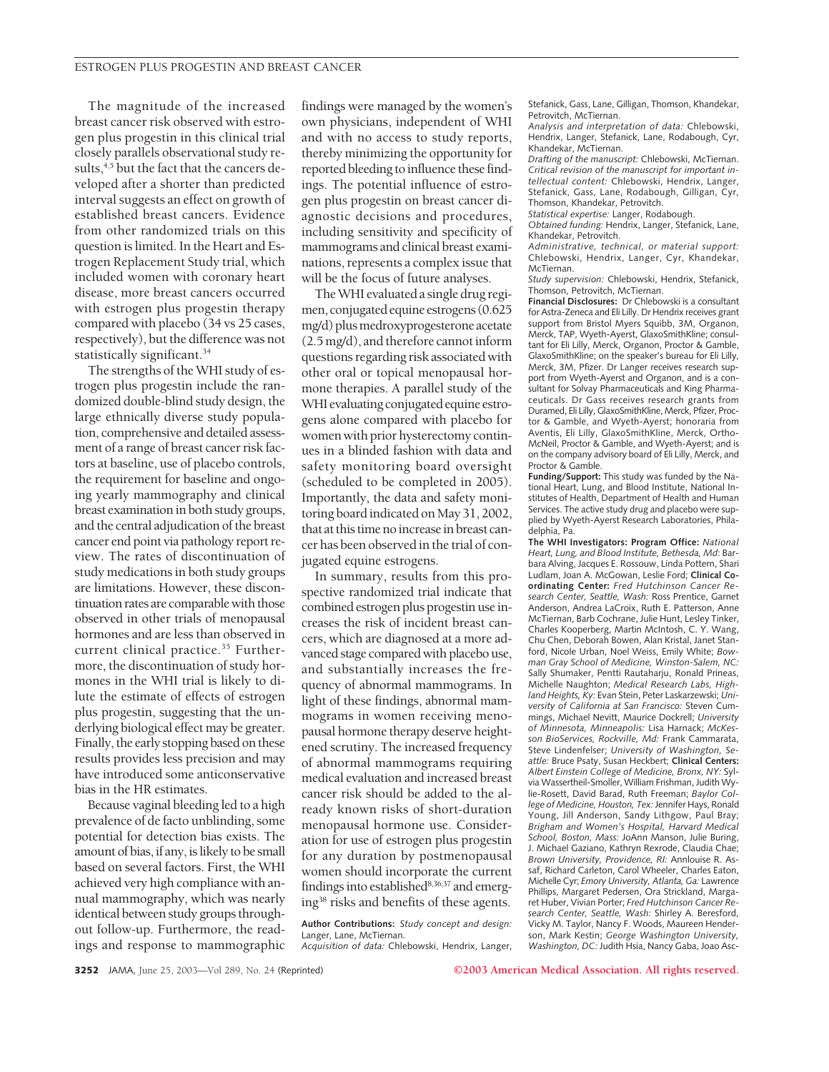The magnitude of the increased breast cancer risk observed with estrogen plus progestin in this clinical trial closely parallels observational study results,<sup>4,5</sup> but the fact that the cancers developed after a shorter than predicted interval suggests an effect on growth of established breast cancers. Evidence from other randomized trials on this question is limited. In the Heart and Estrogen Replacement Study trial, which included women with coronary heart disease, more breast cancers occurred with estrogen plus progestin therapy compared with placebo (34 vs 25 cases, respectively), but the difference was not statistically significant.34

The strengths of the WHI study of estrogen plus progestin include the randomized double-blind study design, the large ethnically diverse study population, comprehensive and detailed assessment of a range of breast cancer risk factors at baseline, use of placebo controls, the requirement for baseline and ongoing yearly mammography and clinical breast examination in both study groups, and the central adjudication of the breast cancer end point via pathology report review. The rates of discontinuation of study medications in both study groups are limitations. However, these discontinuation rates are comparable with those observed in other trials of menopausal hormones and are less than observed in current clinical practice.<sup>35</sup> Furthermore, the discontinuation of study hormones in the WHI trial is likely to dilute the estimate of effects of estrogen plus progestin, suggesting that the underlying biological effect may be greater. Finally, the early stopping based on these results provides less precision and may have introduced some anticonservative bias in the HR estimates.

Because vaginal bleeding led to a high prevalence of de facto unblinding, some potential for detection bias exists. The amount of bias, if any, is likely to be small based on several factors. First, the WHI achieved very high compliance with annual mammography, which was nearly identical between study groups throughout follow-up. Furthermore, the readings and response to mammographic findings were managed by the women's own physicians, independent of WHI and with no access to study reports, thereby minimizing the opportunity for reported bleeding to influence these findings. The potential influence of estrogen plus progestin on breast cancer diagnostic decisions and procedures, including sensitivity and specificity of mammograms and clinical breast examinations, represents a complex issue that will be the focus of future analyses.

TheWHI evaluated a single drug regimen, conjugated equine estrogens (0.625 mg/d) plusmedroxyprogesterone acetate (2.5 mg/d), and therefore cannot inform questions regarding risk associated with other oral or topical menopausal hormone therapies. A parallel study of the WHI evaluating conjugated equine estrogens alone compared with placebo for women with prior hysterectomy continues in a blinded fashion with data and safety monitoring board oversight (scheduled to be completed in 2005). Importantly, the data and safety monitoring board indicated on May 31, 2002, that at this time no increase in breast cancer has been observed in the trial of conjugated equine estrogens.

In summary, results from this prospective randomized trial indicate that combined estrogen plus progestin useincreases the risk of incident breast cancers, which are diagnosed at a more advanced stage compared with placebo use, and substantially increases the frequency of abnormal mammograms. In light of these findings, abnormal mammograms in women receiving menopausal hormone therapy deserve heightened scrutiny. The increased frequency of abnormal mammograms requiring medical evaluation and increased breast cancer risk should be added to the already known risks of short-duration menopausal hormone use. Consideration for use of estrogen plus progestin for any duration by postmenopausal women should incorporate the current findings into established $8,36,37$  and emerging38 risks and benefits of these agents.

**Author Contributions:** *Study concept and design:* Langer, Lane, McTiernan. *Acquisition of data:* Chlebowski, Hendrix, Langer, Stefanick, Gass, Lane, Gilligan, Thomson, Khandekar, Petrovitch, McTiernan.

*Analysis and interpretation of data:* Chlebowski, Hendrix, Langer, Stefanick, Lane, Rodabough, Cyr, Khandekar, McTiernan.

*Drafting of the manuscript:* Chlebowski, McTiernan. *Critical revision of the manuscript for important intellectual content:* Chlebowski, Hendrix, Langer, Stefanick, Gass, Lane, Rodabough, Gilligan, Cyr, Thomson, Khandekar, Petrovitch.

*Statistical expertise:* Langer, Rodabough.

*Obtained funding:* Hendrix, Langer, Stefanick, Lane, Khandekar, Petrovitch.

*Administrative, technical, or material support:* Chlebowski, Hendrix, Langer, Cyr, Khandekar, McTiernan.

*Study supervision:* Chlebowski, Hendrix, Stefanick, Thomson, Petrovitch, McTiernan.

**Financial Disclosures:** Dr Chlebowski is a consultant for Astra-Zeneca and Eli Lilly. Dr Hendrix receives grant support from Bristol Myers Squibb, 3M, Organon, Merck, TAP, Wyeth-Ayerst, GlaxoSmithKline; consultant for Eli Lilly, Merck, Organon, Proctor & Gamble, GlaxoSmithKline; on the speaker's bureau for Eli Lilly, Merck, 3M, Pfizer. Dr Langer receives research support from Wyeth-Ayerst and Organon, and is a consultant for Solvay Pharmaceuticals and King Pharmaceuticals. Dr Gass receives research grants from Duramed, Eli Lilly, GlaxoSmithKline, Merck, Pfizer, Proctor & Gamble, and Wyeth-Ayerst; honoraria from Aventis, Eli Lilly, GlaxoSmithKline, Merck, Ortho-McNeil, Proctor & Gamble, and Wyeth-Ayerst; and is on the company advisory board of Eli Lilly, Merck, and Proctor & Gamble.

**Funding/Support:** This study was funded by the National Heart, Lung, and Blood Institute, National Institutes of Health, Department of Health and Human Services. The active study drug and placebo were supplied by Wyeth-Ayerst Research Laboratories, Philadelphia, Pa.

**The WHI Investigators: Program Office:** *National Heart, Lung, and Blood Institute, Bethesda, Md*: Barbara Alving, Jacques E. Rossouw, Linda Pottern, Shari Ludlam, Joan A. McGowan, Leslie Ford; **Clinical Coordinating Center:** *Fred Hutchinson Cancer Research Center, Seattle, Wash:* Ross Prentice, Garnet Anderson, Andrea LaCroix, Ruth E. Patterson, Anne McTiernan, Barb Cochrane, Julie Hunt, Lesley Tinker, Charles Kooperberg, Martin McIntosh, C. Y. Wang, Chu Chen, Deborah Bowen, Alan Kristal, Janet Stanford, Nicole Urban, Noel Weiss, Emily White; *Bowman Gray School of Medicine, Winston-Salem, NC:* Sally Shumaker, Pentti Rautaharju, Ronald Prineas, Michelle Naughton; *Medical Research Labs, Highland Heights, Ky:* Evan Stein, Peter Laskarzewski; *University of California at San Francisco:* Steven Cummings, Michael Nevitt, Maurice Dockrell; *University of Minnesota, Minneapolis:* Lisa Harnack; *McKesson BioServices, Rockville, Md:* Frank Cammarata, Steve Lindenfelser; *University of Washington, Seattle:* Bruce Psaty, Susan Heckbert; **Clinical Centers:** *Albert Einstein College of Medicine, Bronx, NY:* Sylvia Wassertheil-Smoller, William Frishman, Judith Wylie-Rosett, David Barad, Ruth Freeman; *Baylor College of Medicine, Houston, Tex:* Jennifer Hays, Ronald Young, Jill Anderson, Sandy Lithgow, Paul Bray; *Brigham and Women's Hospital, Harvard Medical School, Boston, Mass:* JoAnn Manson, Julie Buring, J. Michael Gaziano, Kathryn Rexrode, Claudia Chae; *Brown University, Providence, RI:* Annlouise R. Assaf, Richard Carleton, Carol Wheeler, Charles Eaton, Michelle Cyr; *Emory University, Atlanta, Ga:* Lawrence Phillips, Margaret Pedersen, Ora Strickland, Margaret Huber, Vivian Porter; *Fred Hutchinson Cancer Research Center, Seattle, Wash:* Shirley A. Beresford, Vicky M. Taylor, Nancy F. Woods, Maureen Henderson, Mark Kestin; *George Washington University, Washington, DC:* Judith Hsia, Nancy Gaba, Joao Asc